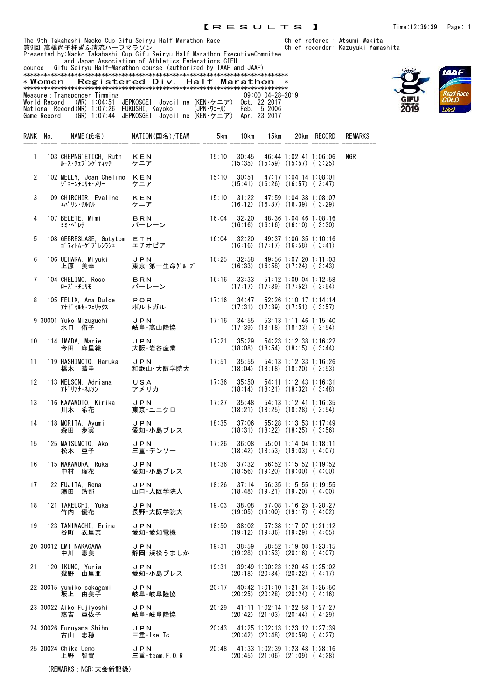and Japan Association of Athletics Federations GIFU cource : Gifu Seiryu Half-Marathon course (authorized by IAAF and JAAF)

\*\*\*\*\*\*\*\*\*\*\*\*\*\*\*\*\*\*\*\*\*\*\*\*\*\*\*\*\*\*\*\*\*\*\*\*\*\*\*\*\*\*\*\*\*\*\*\*\*\*\*\*\*\*\*\*\*\*\*\*\*\*\*\*\*\*\*\*\*\*\*\*\*\*\*\*\*\* \* Women Registered Div. Half Marathon \* \*\*\*\*\*\*\*\*\*\*\*\*\*\*\*\*\*\*\*\*\*\*\*\*\*\*\*\*\*\*\*\*\*\*\*\*\*\*\*\*\*\*\*\*\*\*\*\*\*\*\*\*\*\*\*\*\*\*\*\*\*\*\*\*\*\*\*\*\*\*\*\*\*\*\*\*\*\* Measure:Transponder Timming 09:00 04-28-2019 World Record (WR) 1:04:51 JEPKOSGEI, Joyciline (KEN・ケニア) Oct. 22,2017 National Record(NR) 1:07:26 FUKUSHI, Kayoko (JPN・ワコール) Feb. 5,2006 Game Record (GR) 1:07:44 JEPKOSGEI, Joyciline (KEN・ケニア) Apr. 23,2017

|                | RANK No. |                                                                                                      | NAME(氏名) NATION(国名)/TEAM                                                                                  | 5km   | 10km            | 15km |                                                                                                               | 20km RECORD | REMARKS    |
|----------------|----------|------------------------------------------------------------------------------------------------------|-----------------------------------------------------------------------------------------------------------|-------|-----------------|------|---------------------------------------------------------------------------------------------------------------|-------------|------------|
| $\mathbf{1}$   |          | 103 CHEPNG'ETICH, Ruth KEN<br>ル-ス・チェプンゲティッチ ケニア                                                      |                                                                                                           |       |                 |      | 15:10  30:45  46:44  1:02:41  1:06:06<br>$(15:35)$ $(15:59)$ $(15:57)$ $(3:25)$                               |             | <b>NGR</b> |
| $\overline{2}$ |          | 102 MELLY, Joan Chelimo KEN<br>ジョーンチェリモ・メリー ケニア                                                      |                                                                                                           |       |                 |      | 15:10 30:51 47:17 1:04:14 1:08:01<br>$(15:41)$ $(16:26)$ $(16:57)$ $(3:47)$                                   |             |            |
| 3              |          | 109 CHIRCHIR, Evaline KEN<br>エバリン・チルチル ケニア                                                           |                                                                                                           |       |                 |      | 15:10 31:22 47:59 1:04:38 1:08:07<br>$(16:12)$ $(16:37)$ $(16:39)$ $(3:29)$                                   |             |            |
| 4              |          | 107 BELETE, Mimi BRN<br>ミミ・ベルテ                                                                       | ・ バーレーン                                                                                                   |       |                 |      | 16:04 32:20 48:36 1:04:46 1:08:16<br>$(16:16)$ $(16:16)$ $(16:10)$ $(3:30)$                                   |             |            |
| 5              |          | 108 GEBRESLASE, Gotytom ETH<br>ゴティトム ゲブレシラシエ エチオピア                                                   |                                                                                                           |       |                 |      | 16:04 32:20 49:37 1:06:35 1:10:16<br>$(16:16)$ $(17:17)$ $(16:58)$ $(3:41)$                                   |             |            |
| 6              |          |                                                                                                      | 106 UEHARA, Miyuki しPN<br>上原 美幸 東京・第一生命グループ                                                               |       |                 |      | 16:25 32:58 49:56 1:07:20 1:11:03<br>$(16:33)$ $(16:58)$ $(17:24)$ $(3:43)$                                   |             |            |
| 7              |          | 104 CHELIMO, Rose BRN<br>ローズ・チェリモ パーレーン                                                              |                                                                                                           |       | $16:16$ $33:33$ |      | 51:12 1:09:04 1:12:58<br>$(17:17)$ $(17:39)$ $(17:52)$ $(3:54)$                                               |             |            |
| 8              |          | 105 FELIX, Ana Dulce POR<br>アナドゥルセ・フェリックス ポルトガル                                                      |                                                                                                           |       | $17:16$ $34:47$ |      | 52:26 1:10:17 1:14:14<br>$(17:31)$ $(17:39)$ $(17:51)$ $(3:57)$                                               |             |            |
|                |          | 9 30001 Yuko Mizuguchi JPN<br>水口 侑子    岐阜·高                                                          | JPN<br>岐阜・高山陸協                                                                                            |       | $17:16$ $34:55$ |      | $53:13$ 1:11:46 1:15:40<br>$(17:39)$ $(18:18)$ $(18:33)$ $(3:54)$                                             |             |            |
| 10             |          | 114 IMADA, Marie し PN ちょうしょう しょう しょう しょうしょう しょう しょうしょう しょうしょう しょうしょう しょうしょう しょうしゃ いんこう しょうしょう しょうしょう |                                                                                                           | 17:21 | 35:29           |      | 54:23 1:12:38 1:16:22<br>$(18:08)$ $(18:54)$ $(18:15)$ $(3:44)$                                               |             |            |
| 11             |          | 119 HASHIMOTO, Haruka JPN<br>橋本 晴圭                                                                   | 和歌山·大阪学院大                                                                                                 |       |                 |      | $17:51$ $35:55$ $54:13$ $1:12:33$ $1:16:26$<br>$(18:04)$ $(18:18)$ $(18:20)$ $(3:53)$                         |             |            |
| 12             |          | 113 NELSON, Adriana USA<br>アト゛リアナ・ネルソン                                                               | アメリカ                                                                                                      |       |                 |      | $17:36$ $35:50$ $54:11$ $1:12:43$ $1:16:31$<br>$(18:14)$ $(18:21)$ $(18:32)$ $(3:48)$                         |             |            |
| 13             |          | 116 KAWAMOTO, Kirika<br>川本 希花<br>川本 希花                                                               | J P N          17:27  35:48   54:13 1:12:41 1:16:35<br>東京・ユニクロ        (18:21) (18:25)(18:28)( 3:54)       |       |                 |      |                                                                                                               |             |            |
| 14             |          | 118 MORITA, Ayumi<br>森田 歩実<br>森田 歩実                                                                  | JPN<br>愛知・小島プレス                                                                                           |       |                 |      | 18:35 37:06 55:28 1:13:53 1:17:49<br>$(18:31)$ $(18:22)$ $(18:25)$ $(3:56)$                                   |             |            |
| 15             |          | 125 MATSUMOTO, Ako JPN<br>松本 亜子 三重・デンソー                                                              |                                                                                                           |       |                 |      | 17:26 36:08 55:01 1:14:04 1:18:11<br>$(18:42)$ $(18:53)$ $(19:03)$ $(4:07)$                                   |             |            |
| 16             |          |                                                                                                      | 115 NAKAMURA, Ruka JPN 18:36 37:32 56:52 1:15:52 1:19:52<br>中村 瑠花 愛知・小島プレス (18:56) (19:20) (19:00) (4:00) |       |                 |      |                                                                                                               |             |            |
| 17             |          | 122 FUJITA, Rena UPN<br>藤田 玲那                                                                        | 山ロ・大阪学院大                                                                                                  |       |                 |      | 18:26 37:14 56:35 1:15:55 1:19:55<br>(18:48) (19:21) (19:20) (4:00)<br>$(18:48)$ $(19:21)$ $(19:20)$ $(4:00)$ |             |            |
|                |          | 18 121 TAKEUCHI, Yuka JPN<br>竹内 優花                                                                   | 長野·大阪学院大                                                                                                  |       |                 |      | 19:03 38:08 57:08 1:16:25 1:20:27<br>$(19:05)$ $(19:00)$ $(19:17)$ $(4:02)$                                   |             |            |
| 19             |          | 123 TANIMACHI, Erina<br>谷町 衣里奈                                                                       | JPN<br>愛知·愛知電機                                                                                            |       | $18:50$ $38:02$ |      | $57:38$ 1:17:07 1:21:12<br>$(19:12)$ $(19:36)$ $(19:29)$ $(4:05)$                                             |             |            |
|                |          | 20 30012 EMI NAKAGAWA<br>中川 恵美                                                                       | JPN<br>静岡・浜松うましか                                                                                          | 19:31 | 38:59           |      | $58:52$ 1:19:08 1:23:15<br>$(19:28)$ $(19:53)$ $(20:16)$ $(4:07)$                                             |             |            |
| 21             |          | 120 IKUNO, Yuria<br>幾野 由里亜                                                                           | <b>JPN</b><br>愛知・小島プレス                                                                                    | 19:31 |                 |      | 39:49 1:00:23 1:20:45 1:25:02<br>$(20:18)$ $(20:34)$ $(20:22)$ $(4:17)$                                       |             |            |
|                |          | 22 30015 yumiko sakagami<br>坂上 由美子                                                                   | JPN<br>岐阜·岐阜陸協                                                                                            |       |                 |      | 20:17 40:42 1:01:10 1:21:34 1:25:50<br>$(20:25)$ $(20:28)$ $(20:24)$ $(4:16)$                                 |             |            |
|                |          | 23 30022 Aiko Fujiyoshi<br>藤吉 亜依子                                                                    | J P N<br>岐阜·岐阜陸協                                                                                          |       |                 |      | 20:29 41:11 1:02:14 1:22:58 1:27:27<br>$(20:42)$ $(21:03)$ $(20:44)$ $(4:29)$                                 |             |            |
|                |          | 24 30026 Furuyama Shiho<br>古山 志穂                                                                     | JPN<br>三重·Ise Tc                                                                                          |       |                 |      | 20:43 41:25 1:02:13 1:23:12 1:27:39<br>$(20:42)$ $(20:48)$ $(20:59)$ $(4:27)$                                 |             |            |
|                |          | 25 30024 Chika Ueno<br>上野 智賀                                                                         | J P N<br>三重·team. F.O.R                                                                                   |       |                 |      | 20:48 41:33 1:02:39 1:23:48 1:28:16<br>$(20:45)$ $(21:06)$ $(21:09)$ $(4:28)$                                 |             |            |

(REMARKS: NGR: 大会新記録)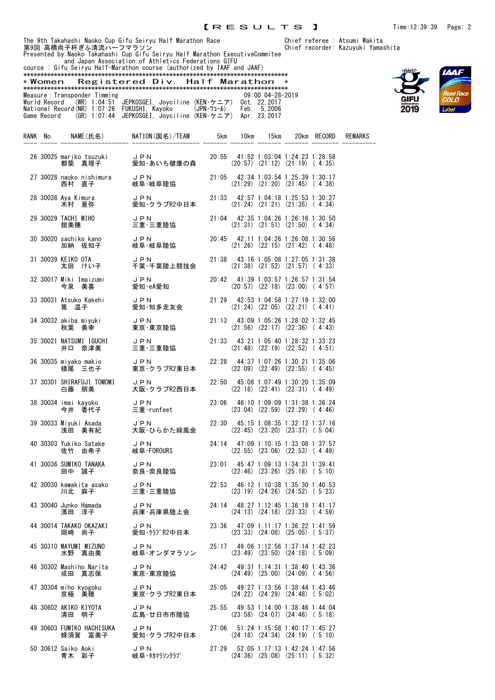and Japan Association of Athletics Federations GIFU cource : Gifu Seiryu Half-Marathon course (authorized by IAAF and JAAF)

\*\*\*\*\*\*\*\*\*\*\*\*\*\*\*\*\*\*\*\*\*\*\*\*\*\*\*\*\*\*\*\*\*\*\*\*\*\*\*\*\*\*\*\*\*\*\*\*\*\*\*\*\*\*\*\*\*\*\*\*\*\*\*\*\*\*\*\*\*\*\*\*\*\*\*\*\*\* \* Women Registered Div. Half Marathon \* \*\*\*\*\*\*\*\*\*\*\*\*\*\*\*\*\*\*\*\*\*\*\*\*\*\*\*\*\*\*\*\*\*\*\*\*\*\*\*\*\*\*\*\*\*\*\*\*\*\*\*\*\*\*\*\*\*\*\*\*\*\*\*\*\*\*\*\*\*\*\*\*\*\*\*\*\*\* Measure:Transponder Timming 09:00 04-28-2019 World Record (WR) 1:04:51 JEPKOSGEI, Joyciline (KEN・ケニア) Oct. 22,2017 National Record(NR) 1:07:26 FUKUSHI, Kayoko (JPN・ワコール) Feb. 5,2006

Game Record (GR) 1:07:44 JEPKOSGEI, Joyciline (KEN・ケニア) Apr. 23,2017



|  |                                      | RANK No. NAME(氏名) NATION(国名)/TEAM 5km                                                                                                                                                                | 10km | 15km |                                                                                 | 20km RECORD | REMARKS |
|--|--------------------------------------|------------------------------------------------------------------------------------------------------------------------------------------------------------------------------------------------------|------|------|---------------------------------------------------------------------------------|-------------|---------|
|  |                                      | 26 30025 mariko tsuzuki JPN 20:55 41:52 1:03:04 1:24:23 1:28:58<br>都築 真理子 愛知・あいち健康の森 (20:57) (21:12) (21:19) (4:35)                                                                                  |      |      |                                                                                 |             |         |
|  |                                      | 27 30028 naoko nishimura do D N 21:05 42:34 1:03:54 1:25:39 1:30:17<br>西村 直子 岐阜·岐阜陸協 (21:29) (21:20) (21:45) (4:38)                                                                                  |      |      |                                                                                 |             |         |
|  |                                      |                                                                                                                                                                                                      |      |      |                                                                                 |             |         |
|  |                                      | 29 30029 TACHI MIHO → JPN → 21:0<br>舘美穂 → 三重・三重陸協                                                                                                                                                    |      |      | 21:04 42:35 1:04:26 1:26:16 1:30:50<br>$(21:31)$ $(21:51)$ $(21:50)$ $(4:34)$   |             |         |
|  |                                      | 30 30020 sachiko kano                  J P N                                   20:45     42:11 1:04:26 1:26:08 1:30:56<br>加納 佐知子           岐阜·岐阜陸協                   (21:26) (22:15) (21:42) ( 4:48) |      |      |                                                                                 |             |         |
|  |                                      |                                                                                                                                                                                                      |      |      |                                                                                 |             |         |
|  |                                      | 32 30017 Miki Imaizumi JPN 20:4<br>今泉 美喜 愛知·eA愛知                                                                                                                                                     |      |      | 20:42 41:39 1:03:57 1:26:57 1:31:54<br>$(20:57)$ $(22:18)$ $(23:00)$ $(4:57)$   |             |         |
|  |                                      | 33 30031 Atsuko Kakehi JPN 21:29 42:53 1:04:58 1:27:19 1:32:00<br>- 筧 温子       愛知・知多走友会      (21:24) (22:05) (22:21)(4:41)                                                                           |      |      |                                                                                 |             |         |
|  |                                      |                                                                                                                                                                                                      |      |      |                                                                                 |             |         |
|  |                                      | 35 30021 NATSUMI IGUCHI JPN 21:33 43:21 1:05:40 1:28:32 1:33:23<br>井口 奈津美     三重・三重陸協        (21:48) (22:19) (22:52) (4:51)                                                                          |      |      |                                                                                 |             |         |
|  |                                      |                                                                                                                                                                                                      |      |      | 22:28 44:37 1:07:26 1:30:21 1:35:06<br>$(22:09)$ $(22:49)$ $(22:55)$ $(4:45)$   |             |         |
|  |                                      | 37 30301 SHIRAFUJI TOMOMI JPN 22<br>白藤 朋美 大阪・クラブR2西日本                                                                                                                                                |      |      | 22:50 45:08 1:07:49 1:30:20 1:35:09<br>$(22:18)$ $(22:41)$ $(22:31)$ $(4:49)$   |             |         |
|  |                                      |                                                                                                                                                                                                      |      |      | 23:06 46:10 1:09:09 1:31:38 1:36:24<br>$(23:04)$ $(22:59)$ $(22:29)$ $(4:46)$   |             |         |
|  |                                      | - 39 30033 Miyuki Asada - コPN 22:30 45:15 1:08:35 1:32:12 1:37:16<br>浅田 美有紀 - 大阪・ひらかた緑風会 - (22:45) (23:20) (23:37) ( 5:04)                                                                           |      |      |                                                                                 |             |         |
|  |                                      | 40 30303 Yukiko Satake JPN 24:1<br>佐竹 由希子 岐阜・FOROURS 24:1                                                                                                                                            |      |      | 24:14 47:09 1:10:15 1:33:08 1:37:57<br>$(22:55)$ $(23:06)$ $(22:53)$ $(4:49)$   |             |         |
|  |                                      | 41 30036 SUMIKO TANAKA JPN 23:01 45:47 1:09:13 1:34:31 1:39:41<br>田中 誠子 奈良・奈良陸協 (22:46) (23:26) (25:18) (5:10)                                                                                       |      |      |                                                                                 |             |         |
|  |                                      |                                                                                                                                                                                                      |      |      |                                                                                 |             |         |
|  | 43 30040 Junko Hamada J P N<br>濱田 淳子 | 24:14 48:27 1:12:45 1:36:18 1:41:17<br>兵庫·兵庫県陸上会                                                                                                                                                     |      |      | $(24:13)$ $(24:18)$ $(23:33)$ $(4:59)$                                          |             |         |
|  | 44 30014 TAKAKO OKAZAKI<br>岡崎 尚子     | JPN<br>愛知·クラブR2中日本                                                                                                                                                                                   |      |      | $23:36$ 47:09 1:11:17 1:36:22 1:41:59<br>$(23:33)$ $(24:08)$ $(25:05)$ $(5:37)$ |             |         |
|  | 45 30310 MAYUMI MIZUNO<br>水野 真由美     | JPN<br>岐阜·オンダマラソン                                                                                                                                                                                    |      |      | 25:17 49:06 1:12:56 1:37:14 1:42:23<br>$(23:49)$ $(23:50)$ $(24:18)$ $(5:09)$   |             |         |
|  | 46 30302 Mashiho Narita<br>成田 真志保    | JPN<br>東京·東京陸協                                                                                                                                                                                       |      |      | 24:42 49:31 1:14:31 1:38:40 1:43:36<br>$(24:49)$ $(25:00)$ $(24:09)$ $(4:56)$   |             |         |
|  | 47 30304 miho kyogoku<br>京極 美穂       | JPN<br>東京・クラブR2東日本                                                                                                                                                                                   |      |      | 25:05 49:27 1:13:56 1:38:44 1:43:46<br>$(24:22)$ $(24:29)$ $(24:48)$ $(5:02)$   |             |         |
|  | 48 30602 AKIKO KIYOTA<br>清田 明子       | JPN<br>広島·廿日市市陸協                                                                                                                                                                                     |      |      | 25:55 49:53 1:14:00 1:38:46 1:44:04<br>$(23:58)$ $(24:07)$ $(24:46)$ $(5:18)$   |             |         |
|  | 49 30603 FUMIKO HACHISUKA<br>蜂須賀 富美子 | JPN<br>愛知・クラブR2中日本                                                                                                                                                                                   |      |      | 27:06 51:24 1:15:58 1:40:17 1:45:27<br>$(24:18)$ $(24:34)$ $(24:19)$ $(5:10)$   |             |         |
|  | 50 30612 Saiko Aoki                  | JPN                                                                                                                                                                                                  |      |      | 27:29  52:05  1:17:13  1:42:24  1:47:56                                         |             |         |

青木 彩子 岐阜・タカマラソンクラブ (24:36) (25:08) (25:11) ( 5:32)

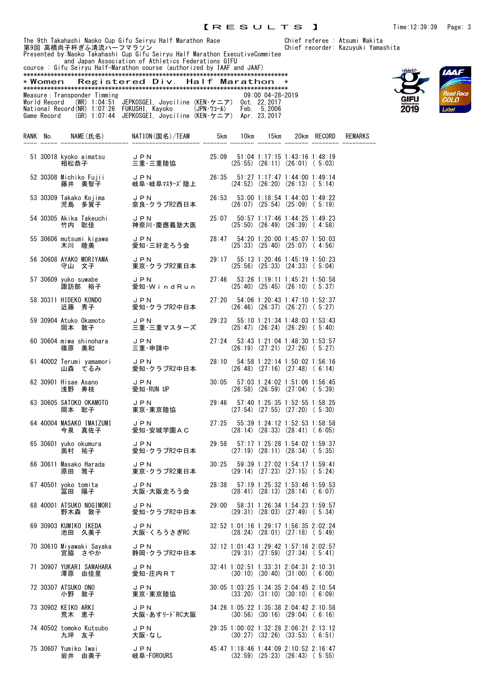and Japan Association of Athletics Federations GIFU cource : Gifu Seiryu Half-Marathon course (authorized by IAAF and JAAF)

\*\*\*\*\*\*\*\*\*\*\*\*\*\*\*\*\*\*\*\*\*\*\*\*\*\*\*\*\*\*\*\*\*\*\*\*\*\*\*\*\*\*\*\*\*\*\*\*\*\*\*\*\*\*\*\*\*\*\*\*\*\*\*\*\*\*\*\*\*\*\*\*\*\*\*\*\*\* Registered Div. Half Marathon \*\*\*\*\*\*\*\*\*\*\*\*\*\*\*\*\*\*\*\*\*\*\*\*\*\*\*\*\*\*\*\*\*\*\*\*\*\*\*\*\*\*\*\*\*\*\*\*\*\*\*\*\*\*\*\*\*\*\*\*\*\*\*\*\*\*\*\*\*\*\*\*\*\*\*\*\*\* Measure:Transponder Timming<br>World Record (WR)1:04:51 JEPKOSGEI, Joyciline(KEN・ケニア) Oct. 22,2017 World Record (WR) 1:04:51 JEPKOSGEI, Joyciline (KEN・ケニア) Oct. 22,2017 National Record(NR) 1:07:26 FUKUSHI, Kayoko (JPN・ワコール) Feb. 5,2006 Game Record (GR) 1:07:44 JEPKOSGEI, Joyciline (KEN・ケニア) Apr. 23,2017

RANK No. NAME(氏名) NATION(国名)/TEAM 5km 10km 15km 20km RECORD REMARKS ---- ----- -------------------- -------------------- ------- ------- ------- ------- -------- ---------- 51 30018 kyoko aimatsu JPN 25:09 51:04 1:17:15 1:43:16 1:48:19 相松恭子 三重・三重陸協 (25:55) (26:11) (26:01) ( 5:03) 52 30308 Michiko Fujii JPN 26:35 51:27 1:17:47 1:44:00 1:49:14  $(24:52)$   $(26:20)$   $(26:13)$   $(5:14)$ 53 30309 Takako Kojima JPN 26:53 53:00 1:18:54 1:44:03 1:49:22 児島 多賀子 奈良・クラブR2西日本 (26:07) (25:54) (25:09) ( 5:19) 54 30305 Akika Takeuchi JPN 25:07 50:57 1:17:46 1:44:25 1:49:23 竹内 聡佳 神奈川・慶應義塾大医 (25:50) (26:49) (26:39) ( 4:58) 55 30606 mutsumi kigawa JPN 28:47 54:20 1:20:00 1:45:07 1:50:03 木川 睦美 愛知・三好走ろう会 (25:33) (25:40) (25:07) ( 4:56) 56 30608 AYAKO MORIYAMA JPN 29:17 55:13 1:20:46 1:45:19 1:50:23  $(25:56)$   $(25:33)$   $(24:33)$   $(5:04)$ 57 30609 yuko suwabe JPN 27:46 53:26 1:19:11 1:45:21 1:50:58  $(25:40)$   $(25:45)$   $(26:10)$   $(5:37)$ 58 30311 HIDEKO KONDO JPN 27:20 54:06 1:20:43 1:47:10 1:52:37  $(26:46)$   $(26:37)$   $(26:27)$  (5:27) 59 30904 Atuko Okamoto JPN 29:23 55:10 1:21:34 1:48:03 1:53:43 岡本 敦子 三重・三重マスターズ (25:47) (26:24) (26:29) ( 5:40) 60 30604 miwa shinohara JPN 27:24 53:43 1:21:04 1:48:30 1:53:57 篠原 美和 三重・申請中 (26:19)(27:21)(27:26)( 5:27) 61 40002 Terumi yamamori JPN 28:10 54:58 1:22:14 1:50:02 1:56:16  $(26:48)$   $(27:16)$   $(27:48)$   $(6:14)$ 62 30901 Hisae Asano JPN 30:05 57:03 1:24:02 1:51:06 1:56:45  $(26:58)$   $(26:59)$   $(27:04)$  (5:39) 63 30605 SATOKO OKAMOTO JPN 29:46 57:40 1:25:35 1:52:55 1:58:25 岡本 聡子 東京・東京陸協 (27:54)(27:55)(27:20)( 5:30) 64 40004 MASAKO IMAIZUMI JPN 27:25 55:39 1:24:12 1:52:53 1:58:58<br>今泉 真佐子 愛知·安城学園AC (28:14) (28:33) (28:41) (6:05)  $(28:14)$   $(28:33)$   $(28:41)$   $(6:05)$ 65 30601 yuko okumura JPN 29:58 57:17 1:25:28 1:54:02 1:59:37  $(27:19)$   $(28:11)$   $(28:34)$   $(5:35)$ 66 30611 Masako Harada JPN 30:25 59:39 1:27:02 1:54:17 1:59:41  $(29:14)$   $(27:23)$   $(27:15)$   $(5:24)$ 67 40501 yoko tomita JPN 28:38 57:19 1:25:32 1:53:46 1:59:53  $(28:41)$   $(28:13)$   $(28:14)$   $(6:07)$ 68 40001 ATSUKO NOGIMORI JPN 29:00 58:31 1:26:34 1:54:23 1:59:57 野木森 敦子 愛知・クラブR2中日本 (29:31) (28:03) (27:49) ( 5:34) 69 30903 KUMIKO IKEDA JPN 32:52 1:01:16 1:29:17 1:56:35 2:02:24  $(28:24)$   $(28:01)$   $(27:18)$   $(5:49)$ 70 30610 Miyawaki Sayaka JPN 32:12 1:01:43 1:29:42 1:57:16 2:02:57 宮脇 さやか 静岡・クラブR2中日本 (29:31) (27:59) (27:34) ( 5:41) 71 30907 YUKARI SAWAHARA JPN 32:41 1:02:51 1:33:31 2:04:31 2:10:31  $(30:10)$   $(30:40)$   $(31:00)$   $(6:00)$ 72 30307 ATSUKO ONO JPN 30:05 1:03:25 1:34:35 2:04:45 2:10:54  $(33:20)$   $(31:10)$   $(30:10)$   $(6:09)$ 73 30902 KEIKO ARKI JPN 34:26 1:05:22 1:35:38 2:04:42 2:10:58 荒木 恵子 大阪・あすリードRC大阪 (30:56) (30:16) (29:04) ( 6:16) 74 40502 tomoko Kutsubo JPN 29:35 1:00:02 1:32:28 2:06:21 2:13:12  $(30:27)$   $(32:26)$   $(33:53)$   $(6:51)$ 75 30607 Yumiko Iwai JPN 45:47 1:18:46 1:44:09 2:10:52 2:16:47  $(32:59)$   $(25:23)$   $(26:43)$   $(5:55)$